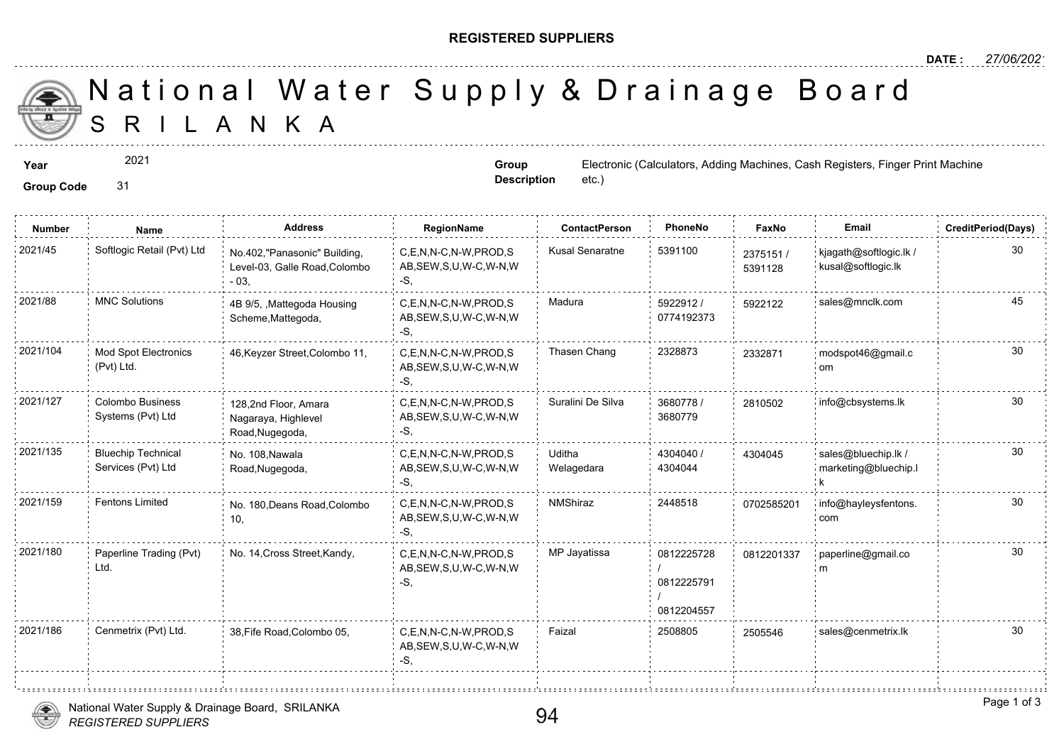## **REGISTERED SUPPLIERS**

**Group Description**

etc.)

A N K A National Water Supply & Drainage

**Year** Electronic (Calculators, Adding Machines, Cash Registers, Finances, Cash Registers, Electronic (Calculators, Adding Machines, **Cash Registers, Finances, Adding Machines, Adding Machines, Angles Registers, Adding Mac** 

2021

**Group Code** 31

**Number Name Address RegionName ContactPerson PhoneNo FaxNo Email CreditPeriod(Days)** C,E,N,N-C,N-W,PROD,S Kusal Senaratne 5391100 AB,SEW,S,U,W-C,W-N,W -S, 2021/45 Softlogic Retail (Pvt) Ltd <sub>No.402,"</sub>Panasonic" Building, C,E,N,N-C,N-W,PROD,S Kusal Senaratne 5391100 <sub>23751</sub> Level-03, Galle Road,Colombo - 03, 23751 539112 5922912 / 45 0774192373 C,E,N,N-C,N-W,PROD,S Madura AB,SEW,S,U,W-C,W-N,W -S, 2021/88 MNC Solutions 4B 9/5, ,Mattegoda Housing C,E,N,N-C,N-W,PROD,S Madura 5922912 / 592212 Scheme,Mattegoda, C,E,N,N-C,N-W,PROD,S Thasen Chang 2328873 AB,SEW,S,U,W-C,W-N,W -S, 2021/104 Mod Spot Electronics 46,Keyzer Street,Colombo 11, C,E,N,N-C,N-W,PROD,S Thasen Chang 2328873 233287 (Pvt) Ltd. 233287 3680778 / 28105 3680779 C,E,N,N-C,N-W,PROD,S Suralini De Silva AB,SEW,S,U,W-C,W-N,W -S, 128,2nd Floor, Amara Nagaraya, Highlevel Road,Nugegoda, Colombo Business Systems (Pvt) Ltd 2021/127 2810502 info@cbsystems.lk 4304040 / 4304044 Uditha Welagedara C,E,N,N-C,N-W,PROD,S 2021/135 sales@bluechip.lk / AB,SEW,S,U,W-C,W-N,W -S, No. 108,Nawala Road,Nugegoda, Bluechip Technical Services (Pvt) Ltd 430404 C,E,N,N-C,N-W,PROD,S NMShiraz 2448518 AB,SEW,S,U,W-C,W-N,W -S, 2021/159 Fentons Limited : No. 180,Deans Road,Colombo : C,E,N,N-C,N-W,PROD,S : NMShiraz : 2448518 070258 10, 070258 0812225728 / 0812225791 / 0812204557 C,E,N,N-C,N-W,PROD,S MP Jayatissa AB,SEW,S,U,W-C,W-N,W -S, 2021/180 Paperline Trading (Pvt) No. 14, Cross Street,Kandy, C,E,N,N-C,N-W,PROD,S MP Jayatissa 20812225728 081220 Ltd. 081220 C,E,N,N-C,N-W,PROD,S Faizal 2508805 25055 AB,SEW,S,U,W-C,W-N,W -S, 2021/186 Cenmetrix (Pvt) Ltd. 38, Fife Road, Colombo 05,



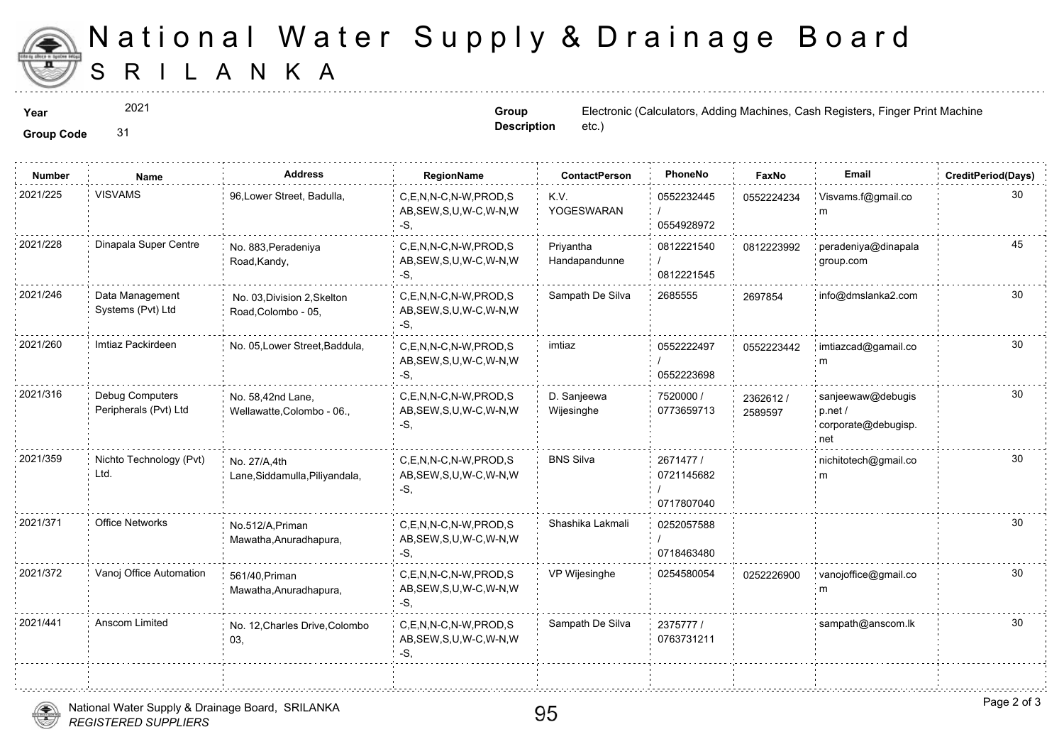

## S R I L A N K A National Water Supply & Drainage

÷.

2021

**Group Description**

**Year** Electronic (Calculators, Adding Machines, Cash Registers, Finances, Cash Registers, Electronic (Calculators, Adding Machines, **Cash Registers, Finances, Finances, Angles**, Finances, *Cash Registers*, *Finances*, *Ca* etc.)

**Group Code** 31

| <b>Number</b> | <b>Name</b>                              | <b>Address</b>                                     | RegionName                                                   | <b>ContactPerson</b>       | PhoneNo                               | Faxl             |
|---------------|------------------------------------------|----------------------------------------------------|--------------------------------------------------------------|----------------------------|---------------------------------------|------------------|
| 2021/225      | <b>VISVAMS</b>                           | 96, Lower Street, Badulla,                         | C,E,N,N-C,N-W,PROD,S<br>AB, SEW, S, U, W-C, W-N, W<br>-S.    | K.V.<br>YOGESWARAN         | 0552232445<br>0554928972              | 055222           |
| 2021/228      | Dinapala Super Centre                    | No. 883, Peradeniya<br>Road, Kandy,                | C.E.N.N-C.N-W.PROD.S<br>AB, SEW, S, U, W-C, W-N, W<br>$-S$ . | Privantha<br>Handapandunne | 0812221540<br>0812221545              | 081222           |
| 2021/246      | Data Management<br>Systems (Pvt) Ltd     | No. 03, Division 2, Skelton<br>Road, Colombo - 05, | C,E,N,N-C,N-W,PROD,S<br>AB, SEW, S, U, W-C, W-N, W<br>-S,    | Sampath De Silva           | 2685555                               | 269785           |
| 2021/260      | Imtiaz Packirdeen                        | No. 05, Lower Street, Baddula,                     | C.E.N.N-C.N-W.PROD.S<br>AB, SEW, S, U, W-C, W-N, W<br>-S,    | imtiaz                     | 0552222497<br>0552223698              | 055222           |
| 2021/316      | Debug Computers<br>Peripherals (Pvt) Ltd | No. 58,42nd Lane,<br>Wellawatte, Colombo - 06.,    | C,E,N,N-C,N-W,PROD,S<br>AB, SEW, S, U, W-C, W-N, W<br>-S.    | D. Sanjeewa<br>Wijesinghe  | 7520000 /<br>0773659713               | 236261<br>258959 |
| 2021/359      | Nichto Technology (Pvt)<br>Ltd.          | No. 27/A.4th<br>Lane, Siddamulla, Piliyandala,     | C,E,N,N-C,N-W,PROD,S<br>AB, SEW, S, U, W-C, W-N, W<br>-S.    | <b>BNS Silva</b>           | 2671477 /<br>0721145682<br>0717807040 |                  |
| 2021/371      | <b>Office Networks</b>                   | No.512/A, Priman<br>Mawatha, Anuradhapura,         | C.E.N.N-C.N-W.PROD.S<br>AB, SEW, S, U, W-C, W-N, W<br>-S.    | Shashika Lakmali           | 0252057588<br>0718463480              |                  |
| 2021/372      | Vanoj Office Automation                  | 561/40, Priman<br>Mawatha, Anuradhapura,           | C,E,N,N-C,N-W,PROD,S<br>AB, SEW, S, U, W-C, W-N, W<br>-S,    | VP Wijesinghe              | 0254580054                            | 025222           |
| 2021/441      | Anscom Limited                           | No. 12, Charles Drive, Colombo<br>03,              | C.E.N.N-C.N-W.PROD.S<br>AB, SEW, S, U, W-C, W-N, W<br>-S,    | Sampath De Silva           | 2375777/<br>0763731211                |                  |
|               |                                          |                                                    |                                                              |                            |                                       |                  |



. . . . . . . . . . . . . . . . .